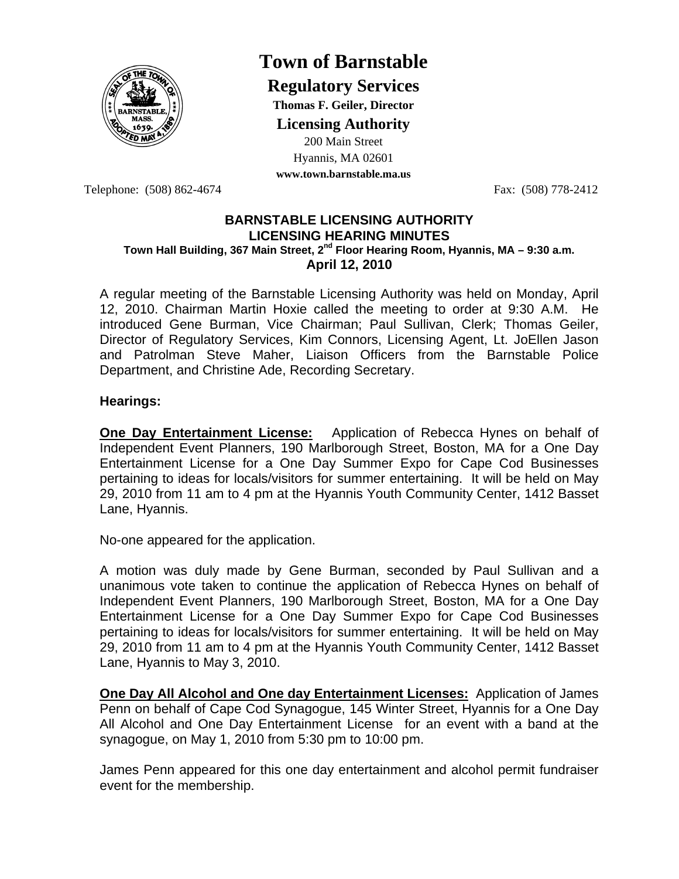

# **Town of Barnstable**

**Regulatory Services**

**Thomas F. Geiler, Director** 

**Licensing Authority**

200 Main Street Hyannis, MA 02601

**www.town.barnstable.ma.us**

Telephone: (508) 862-4674 Fax: (508) 778-2412

### **BARNSTABLE LICENSING AUTHORITY LICENSING HEARING MINUTES Town Hall Building, 367 Main Street, 2nd Floor Hearing Room, Hyannis, MA – 9:30 a.m. April 12, 2010**

A regular meeting of the Barnstable Licensing Authority was held on Monday, April 12, 2010. Chairman Martin Hoxie called the meeting to order at 9:30 A.M. He introduced Gene Burman, Vice Chairman; Paul Sullivan, Clerk; Thomas Geiler, Director of Regulatory Services, Kim Connors, Licensing Agent, Lt. JoEllen Jason and Patrolman Steve Maher, Liaison Officers from the Barnstable Police Department, and Christine Ade, Recording Secretary.

# **Hearings:**

**One Day Entertainment License:** Application of Rebecca Hynes on behalf of Independent Event Planners, 190 Marlborough Street, Boston, MA for a One Day Entertainment License for a One Day Summer Expo for Cape Cod Businesses pertaining to ideas for locals/visitors for summer entertaining. It will be held on May 29, 2010 from 11 am to 4 pm at the Hyannis Youth Community Center, 1412 Basset Lane, Hyannis.

No-one appeared for the application.

A motion was duly made by Gene Burman, seconded by Paul Sullivan and a unanimous vote taken to continue the application of Rebecca Hynes on behalf of Independent Event Planners, 190 Marlborough Street, Boston, MA for a One Day Entertainment License for a One Day Summer Expo for Cape Cod Businesses pertaining to ideas for locals/visitors for summer entertaining. It will be held on May 29, 2010 from 11 am to 4 pm at the Hyannis Youth Community Center, 1412 Basset Lane, Hyannis to May 3, 2010.

**One Day All Alcohol and One day Entertainment Licenses:** Application of James Penn on behalf of Cape Cod Synagogue, 145 Winter Street, Hyannis for a One Day All Alcohol and One Day Entertainment License for an event with a band at the synagogue, on May 1, 2010 from 5:30 pm to 10:00 pm.

James Penn appeared for this one day entertainment and alcohol permit fundraiser event for the membership.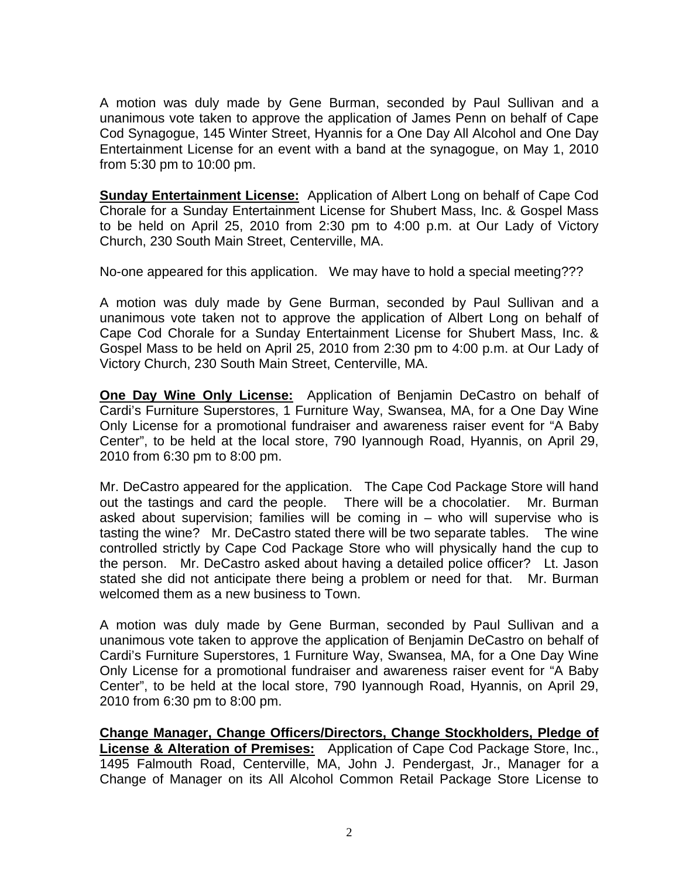A motion was duly made by Gene Burman, seconded by Paul Sullivan and a unanimous vote taken to approve the application of James Penn on behalf of Cape Cod Synagogue, 145 Winter Street, Hyannis for a One Day All Alcohol and One Day Entertainment License for an event with a band at the synagogue, on May 1, 2010 from 5:30 pm to 10:00 pm.

**Sunday Entertainment License:** Application of Albert Long on behalf of Cape Cod Chorale for a Sunday Entertainment License for Shubert Mass, Inc. & Gospel Mass to be held on April 25, 2010 from 2:30 pm to 4:00 p.m. at Our Lady of Victory Church, 230 South Main Street, Centerville, MA.

No-one appeared for this application. We may have to hold a special meeting???

A motion was duly made by Gene Burman, seconded by Paul Sullivan and a unanimous vote taken not to approve the application of Albert Long on behalf of Cape Cod Chorale for a Sunday Entertainment License for Shubert Mass, Inc. & Gospel Mass to be held on April 25, 2010 from 2:30 pm to 4:00 p.m. at Our Lady of Victory Church, 230 South Main Street, Centerville, MA.

**One Day Wine Only License:** Application of Benjamin DeCastro on behalf of Cardi's Furniture Superstores, 1 Furniture Way, Swansea, MA, for a One Day Wine Only License for a promotional fundraiser and awareness raiser event for "A Baby Center", to be held at the local store, 790 Iyannough Road, Hyannis, on April 29, 2010 from 6:30 pm to 8:00 pm.

Mr. DeCastro appeared for the application. The Cape Cod Package Store will hand out the tastings and card the people. There will be a chocolatier. Mr. Burman asked about supervision; families will be coming in – who will supervise who is tasting the wine? Mr. DeCastro stated there will be two separate tables. The wine controlled strictly by Cape Cod Package Store who will physically hand the cup to the person. Mr. DeCastro asked about having a detailed police officer? Lt. Jason stated she did not anticipate there being a problem or need for that. Mr. Burman welcomed them as a new business to Town.

A motion was duly made by Gene Burman, seconded by Paul Sullivan and a unanimous vote taken to approve the application of Benjamin DeCastro on behalf of Cardi's Furniture Superstores, 1 Furniture Way, Swansea, MA, for a One Day Wine Only License for a promotional fundraiser and awareness raiser event for "A Baby Center", to be held at the local store, 790 Iyannough Road, Hyannis, on April 29, 2010 from 6:30 pm to 8:00 pm.

**Change Manager, Change Officers/Directors, Change Stockholders, Pledge of License & Alteration of Premises:** Application of Cape Cod Package Store, Inc., 1495 Falmouth Road, Centerville, MA, John J. Pendergast, Jr., Manager for a Change of Manager on its All Alcohol Common Retail Package Store License to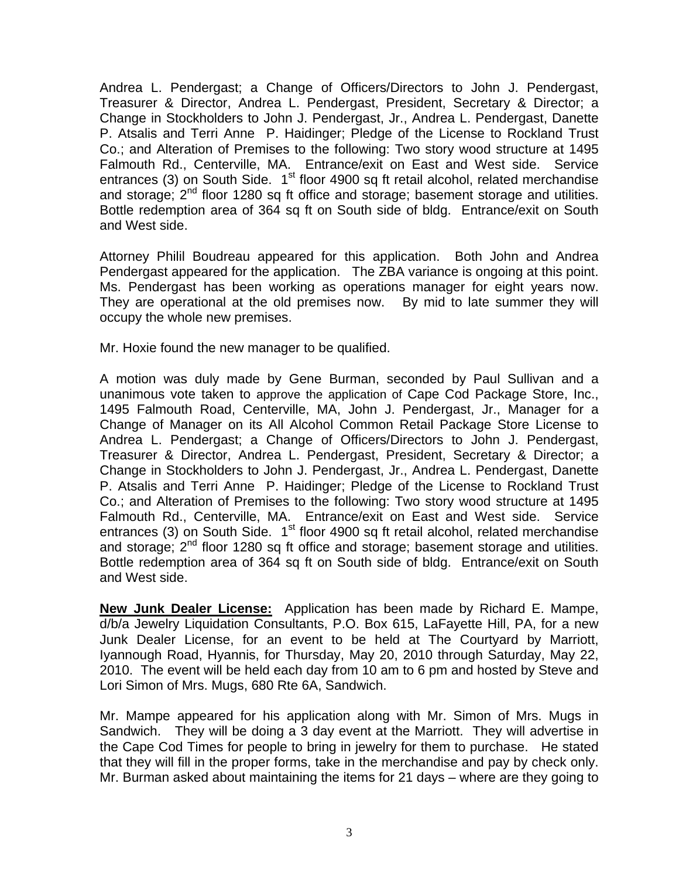Andrea L. Pendergast; a Change of Officers/Directors to John J. Pendergast, Treasurer & Director, Andrea L. Pendergast, President, Secretary & Director; a Change in Stockholders to John J. Pendergast, Jr., Andrea L. Pendergast, Danette P. Atsalis and Terri Anne P. Haidinger; Pledge of the License to Rockland Trust Co.; and Alteration of Premises to the following: Two story wood structure at 1495 Falmouth Rd., Centerville, MA. Entrance/exit on East and West side. Service entrances (3) on South Side.  $1<sup>st</sup>$  floor 4900 sq ft retail alcohol, related merchandise and storage;  $2^{nd}$  floor 1280 sq ft office and storage; basement storage and utilities. Bottle redemption area of 364 sq ft on South side of bldg. Entrance/exit on South and West side.

Attorney Philil Boudreau appeared for this application. Both John and Andrea Pendergast appeared for the application. The ZBA variance is ongoing at this point. Ms. Pendergast has been working as operations manager for eight years now. They are operational at the old premises now. By mid to late summer they will occupy the whole new premises.

Mr. Hoxie found the new manager to be qualified.

A motion was duly made by Gene Burman, seconded by Paul Sullivan and a unanimous vote taken to approve the application of Cape Cod Package Store, Inc., 1495 Falmouth Road, Centerville, MA, John J. Pendergast, Jr., Manager for a Change of Manager on its All Alcohol Common Retail Package Store License to Andrea L. Pendergast; a Change of Officers/Directors to John J. Pendergast, Treasurer & Director, Andrea L. Pendergast, President, Secretary & Director; a Change in Stockholders to John J. Pendergast, Jr., Andrea L. Pendergast, Danette P. Atsalis and Terri Anne P. Haidinger; Pledge of the License to Rockland Trust Co.; and Alteration of Premises to the following: Two story wood structure at 1495 Falmouth Rd., Centerville, MA. Entrance/exit on East and West side. Service entrances (3) on South Side.  $1<sup>st</sup>$  floor 4900 sq ft retail alcohol, related merchandise and storage;  $2^{nd}$  floor 1280 sq ft office and storage; basement storage and utilities. Bottle redemption area of 364 sq ft on South side of bldg. Entrance/exit on South and West side.

**New Junk Dealer License:** Application has been made by Richard E. Mampe, d/b/a Jewelry Liquidation Consultants, P.O. Box 615, LaFayette Hill, PA, for a new Junk Dealer License, for an event to be held at The Courtyard by Marriott, Iyannough Road, Hyannis, for Thursday, May 20, 2010 through Saturday, May 22, 2010. The event will be held each day from 10 am to 6 pm and hosted by Steve and Lori Simon of Mrs. Mugs, 680 Rte 6A, Sandwich.

Mr. Mampe appeared for his application along with Mr. Simon of Mrs. Mugs in Sandwich. They will be doing a 3 day event at the Marriott. They will advertise in the Cape Cod Times for people to bring in jewelry for them to purchase. He stated that they will fill in the proper forms, take in the merchandise and pay by check only. Mr. Burman asked about maintaining the items for 21 days – where are they going to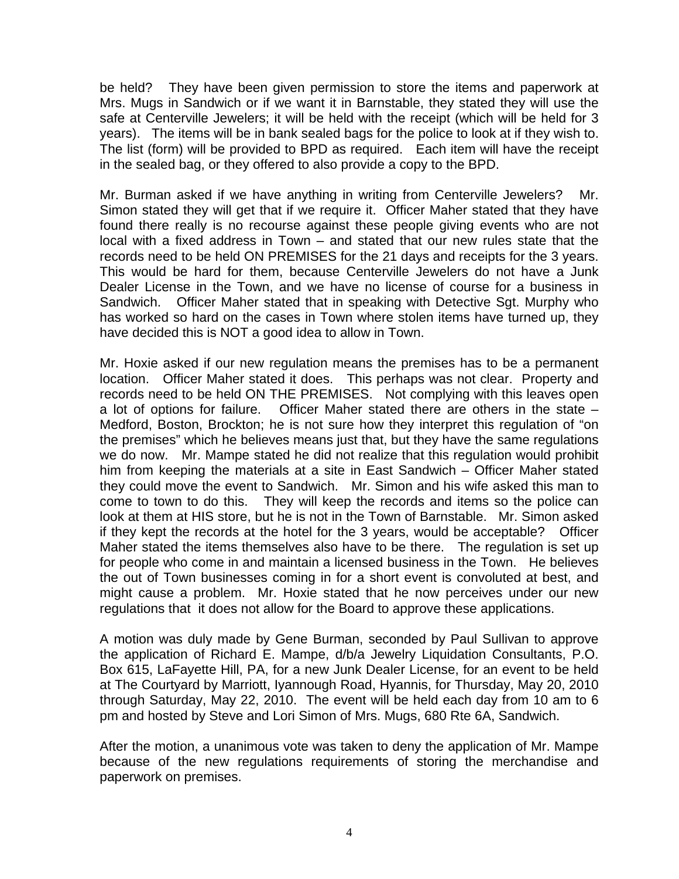be held? They have been given permission to store the items and paperwork at Mrs. Mugs in Sandwich or if we want it in Barnstable, they stated they will use the safe at Centerville Jewelers; it will be held with the receipt (which will be held for 3 years). The items will be in bank sealed bags for the police to look at if they wish to. The list (form) will be provided to BPD as required. Each item will have the receipt in the sealed bag, or they offered to also provide a copy to the BPD.

Mr. Burman asked if we have anything in writing from Centerville Jewelers? Mr. Simon stated they will get that if we require it. Officer Maher stated that they have found there really is no recourse against these people giving events who are not local with a fixed address in Town – and stated that our new rules state that the records need to be held ON PREMISES for the 21 days and receipts for the 3 years. This would be hard for them, because Centerville Jewelers do not have a Junk Dealer License in the Town, and we have no license of course for a business in Sandwich. Officer Maher stated that in speaking with Detective Sgt. Murphy who has worked so hard on the cases in Town where stolen items have turned up, they have decided this is NOT a good idea to allow in Town.

Mr. Hoxie asked if our new regulation means the premises has to be a permanent location. Officer Maher stated it does. This perhaps was not clear. Property and records need to be held ON THE PREMISES. Not complying with this leaves open a lot of options for failure. Officer Maher stated there are others in the state – Medford, Boston, Brockton; he is not sure how they interpret this regulation of "on the premises" which he believes means just that, but they have the same regulations we do now. Mr. Mampe stated he did not realize that this regulation would prohibit him from keeping the materials at a site in East Sandwich – Officer Maher stated they could move the event to Sandwich. Mr. Simon and his wife asked this man to come to town to do this. They will keep the records and items so the police can look at them at HIS store, but he is not in the Town of Barnstable. Mr. Simon asked if they kept the records at the hotel for the 3 years, would be acceptable? Officer Maher stated the items themselves also have to be there. The regulation is set up for people who come in and maintain a licensed business in the Town. He believes the out of Town businesses coming in for a short event is convoluted at best, and might cause a problem. Mr. Hoxie stated that he now perceives under our new regulations that it does not allow for the Board to approve these applications.

A motion was duly made by Gene Burman, seconded by Paul Sullivan to approve the application of Richard E. Mampe, d/b/a Jewelry Liquidation Consultants, P.O. Box 615, LaFayette Hill, PA, for a new Junk Dealer License, for an event to be held at The Courtyard by Marriott, Iyannough Road, Hyannis, for Thursday, May 20, 2010 through Saturday, May 22, 2010. The event will be held each day from 10 am to 6 pm and hosted by Steve and Lori Simon of Mrs. Mugs, 680 Rte 6A, Sandwich.

After the motion, a unanimous vote was taken to deny the application of Mr. Mampe because of the new regulations requirements of storing the merchandise and paperwork on premises.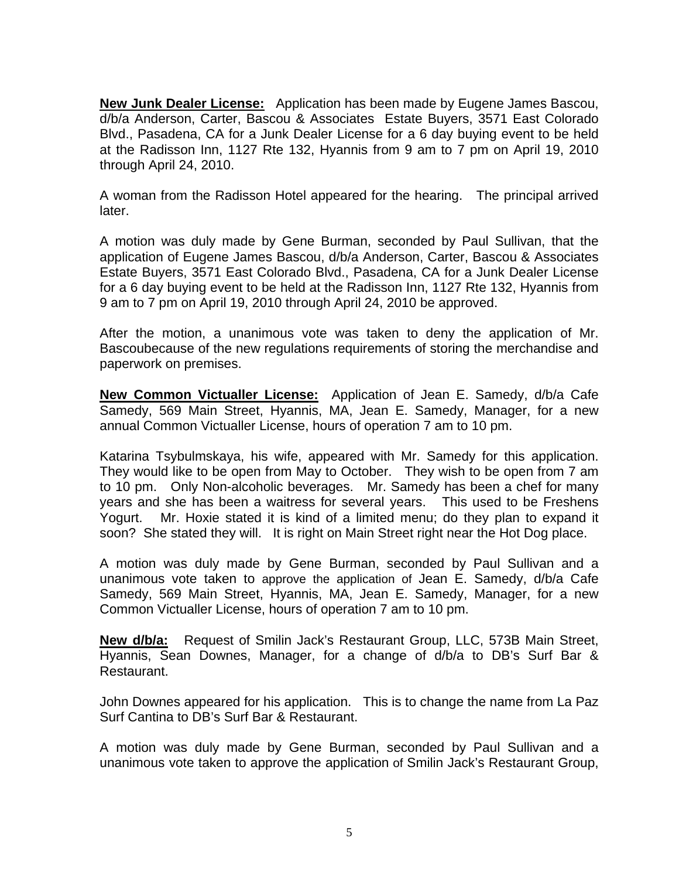**New Junk Dealer License:** Application has been made by Eugene James Bascou, d/b/a Anderson, Carter, Bascou & Associates Estate Buyers, 3571 East Colorado Blvd., Pasadena, CA for a Junk Dealer License for a 6 day buying event to be held at the Radisson Inn, 1127 Rte 132, Hyannis from 9 am to 7 pm on April 19, 2010 through April 24, 2010.

A woman from the Radisson Hotel appeared for the hearing. The principal arrived later.

A motion was duly made by Gene Burman, seconded by Paul Sullivan, that the application of Eugene James Bascou, d/b/a Anderson, Carter, Bascou & Associates Estate Buyers, 3571 East Colorado Blvd., Pasadena, CA for a Junk Dealer License for a 6 day buying event to be held at the Radisson Inn, 1127 Rte 132, Hyannis from 9 am to 7 pm on April 19, 2010 through April 24, 2010 be approved.

After the motion, a unanimous vote was taken to deny the application of Mr. Bascoubecause of the new regulations requirements of storing the merchandise and paperwork on premises.

**New Common Victualler License:** Application of Jean E. Samedy, d/b/a Cafe Samedy, 569 Main Street, Hyannis, MA, Jean E. Samedy, Manager, for a new annual Common Victualler License, hours of operation 7 am to 10 pm.

Katarina Tsybulmskaya, his wife, appeared with Mr. Samedy for this application. They would like to be open from May to October. They wish to be open from 7 am to 10 pm. Only Non-alcoholic beverages. Mr. Samedy has been a chef for many years and she has been a waitress for several years. This used to be Freshens Yogurt. Mr. Hoxie stated it is kind of a limited menu; do they plan to expand it soon? She stated they will. It is right on Main Street right near the Hot Dog place.

A motion was duly made by Gene Burman, seconded by Paul Sullivan and a unanimous vote taken to approve the application of Jean E. Samedy, d/b/a Cafe Samedy, 569 Main Street, Hyannis, MA, Jean E. Samedy, Manager, for a new Common Victualler License, hours of operation 7 am to 10 pm.

**New d/b/a:** Request of Smilin Jack's Restaurant Group, LLC, 573B Main Street, Hyannis, Sean Downes, Manager, for a change of d/b/a to DB's Surf Bar & Restaurant.

John Downes appeared for his application. This is to change the name from La Paz Surf Cantina to DB's Surf Bar & Restaurant.

A motion was duly made by Gene Burman, seconded by Paul Sullivan and a unanimous vote taken to approve the application of Smilin Jack's Restaurant Group,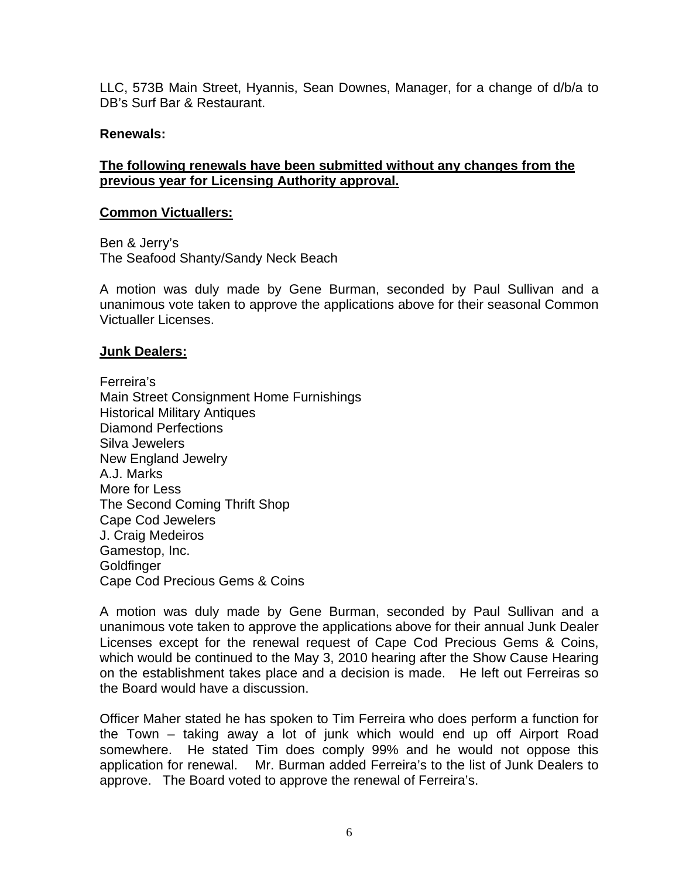LLC, 573B Main Street, Hyannis, Sean Downes, Manager, for a change of d/b/a to DB's Surf Bar & Restaurant.

#### **Renewals:**

# **The following renewals have been submitted without any changes from the previous year for Licensing Authority approval.**

#### **Common Victuallers:**

Ben & Jerry's The Seafood Shanty/Sandy Neck Beach

A motion was duly made by Gene Burman, seconded by Paul Sullivan and a unanimous vote taken to approve the applications above for their seasonal Common Victualler Licenses.

#### **Junk Dealers:**

Ferreira's Main Street Consignment Home Furnishings Historical Military Antiques Diamond Perfections Silva Jewelers New England Jewelry A.J. Marks More for Less The Second Coming Thrift Shop Cape Cod Jewelers J. Craig Medeiros Gamestop, Inc. **Goldfinger** Cape Cod Precious Gems & Coins

A motion was duly made by Gene Burman, seconded by Paul Sullivan and a unanimous vote taken to approve the applications above for their annual Junk Dealer Licenses except for the renewal request of Cape Cod Precious Gems & Coins, which would be continued to the May 3, 2010 hearing after the Show Cause Hearing on the establishment takes place and a decision is made. He left out Ferreiras so the Board would have a discussion.

Officer Maher stated he has spoken to Tim Ferreira who does perform a function for the Town – taking away a lot of junk which would end up off Airport Road somewhere. He stated Tim does comply 99% and he would not oppose this application for renewal. Mr. Burman added Ferreira's to the list of Junk Dealers to approve. The Board voted to approve the renewal of Ferreira's.